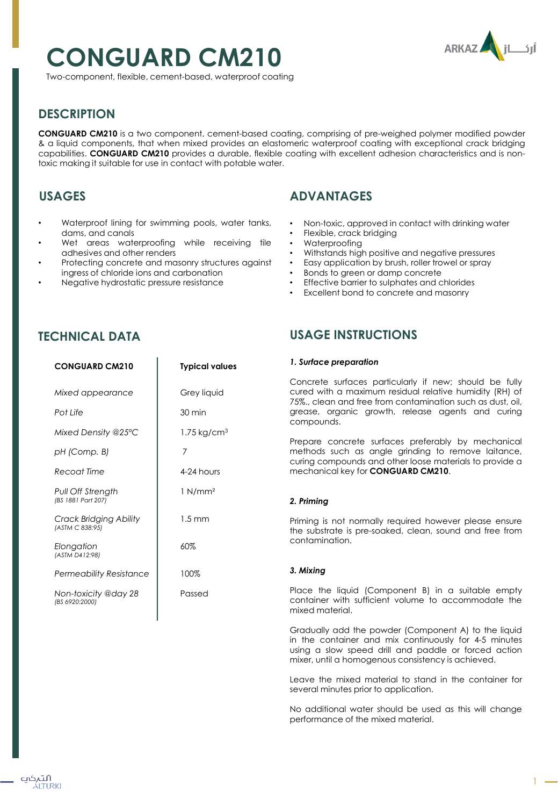# **CONGUARD CM210**



Two-component, flexible, cement-based, waterproof coating

# **DESCRIPTION**

**CONGUARD CM210** is a two component, cement-based coating, comprising of pre-weighed polymer modified powder & a liquid components, that when mixed provides an elastomeric waterproof coating with exceptional crack bridging capabilities. **CONGUARD CM210** provides a durable, flexible coating with excellent adhesion characteristics and is nontoxic making it suitable for use in contact with potable water.

# **USAGES**

- Waterproof lining for swimming pools, water tanks, dams, and canals
- Wet areas waterproofing while receiving tile adhesives and other renders
- Protecting concrete and masonry structures against ingress of chloride ions and carbonation
- Negative hydrostatic pressure resistance

# **ADVANTAGES**

- Non-toxic, approved in contact with drinking water
- Flexible, crack bridging
- Waterproofing
- Withstands high positive and negative pressures
- Easy application by brush, roller trowel or spray
- Bonds to green or damp concrete
- Effective barrier to sulphates and chlorides
- Excellent bond to concrete and masonry

## **TECHNICAL DATA**

| <b>CONGUARD CM210</b>                            | <b>Typical values</b>  |
|--------------------------------------------------|------------------------|
| Mixed appearance                                 | Grey liquid            |
| Pot Life                                         | 30 min                 |
| Mixed Density @25°C                              | $1.75 \text{ kg/cm}^3$ |
| pH (Comp. B)                                     | 7                      |
| Recoat Time                                      | 4-24 hours             |
| Pull Off Strength<br>(BS 1881 Part 207)          | $1$ N/mm <sup>2</sup>  |
| <b>Crack Bridging Ability</b><br>(ASTM C 838:95) | $1.5 \text{ mm}$       |
| Elongation<br>(ASTM D412:98)                     | 60%                    |
| Permeability Resistance                          | 100%                   |
| Non-toxicity @day 28<br>(BS 6920:2000)           | Passed                 |

## **USAGE INSTRUCTIONS**

#### *1. Surface preparation*

Concrete surfaces particularly if new; should be fully cured with a maximum residual relative humidity (RH) of 75%., clean and free from contamination such as dust, oil, grease, organic growth, release agents and curing compounds.

Prepare concrete surfaces preferably by mechanical methods such as angle grinding to remove laitance, curing compounds and other loose materials to provide a mechanical key for **CONGUARD CM210**.

#### *2. Priming*

Priming is not normally required however please ensure the substrate is pre-soaked, clean, sound and free from contamination.

#### *3. Mixing*

Place the liquid (Component B) in a suitable empty container with sufficient volume to accommodate the mixed material.

Gradually add the powder (Component A) to the liquid in the container and mix continuously for 4-5 minutes using a slow speed drill and paddle or forced action mixer, until a homogenous consistency is achieved.

Leave the mixed material to stand in the container for several minutes prior to application.

No additional water should be used as this will change performance of the mixed material.